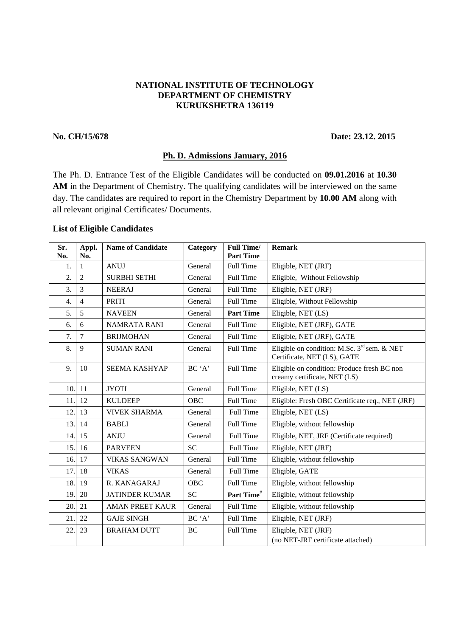# **NATIONAL INSTITUTE OF TECHNOLOGY DEPARTMENT OF CHEMISTRY KURUKSHETRA 136119**

#### **No. CH/15/678 Date: 23.12. 2015**

### **Ph. D. Admissions January, 2016**

The Ph. D. Entrance Test of the Eligible Candidates will be conducted on **09.01.2016** at **10.30**  AM in the Department of Chemistry. The qualifying candidates will be interviewed on the same day. The candidates are required to report in the Chemistry Department by **10.00 AM** along with all relevant original Certificates/ Documents.

# **List of Eligible Candidates**

| Sr.<br>No. | Appl.<br>No.   | <b>Name of Candidate</b> | Category  | <b>Full Time/</b><br><b>Part Time</b> | <b>Remark</b>                                                                   |
|------------|----------------|--------------------------|-----------|---------------------------------------|---------------------------------------------------------------------------------|
| 1.         | $\mathbf{1}$   | <b>ANUJ</b>              | General   | Full Time                             | Eligible, NET (JRF)                                                             |
| 2.         | $\overline{2}$ | <b>SURBHI SETHI</b>      | General   | Full Time                             | Eligible, Without Fellowship                                                    |
| 3.         | 3              | <b>NEERAJ</b>            | General   | Full Time                             | Eligible, NET (JRF)                                                             |
| 4.         | $\overline{4}$ | PRITI                    | General   | Full Time                             | Eligible, Without Fellowship                                                    |
| 5.         | 5              | <b>NAVEEN</b>            | General   | <b>Part Time</b>                      | Eligible, NET (LS)                                                              |
| 6.         | 6              | <b>NAMRATA RANI</b>      | General   | Full Time                             | Eligible, NET (JRF), GATE                                                       |
| 7.         | $\overline{7}$ | <b>BRIJMOHAN</b>         | General   | Full Time                             | Eligible, NET (JRF), GATE                                                       |
| 8.         | 9              | <b>SUMAN RANI</b>        | General   | <b>Full Time</b>                      | Eligible on condition: M.Sc. $3^{rd}$ sem. & NET<br>Certificate, NET (LS), GATE |
| 9.         | 10             | SEEMA KASHYAP            | BC 'A'    | Full Time                             | Eligible on condition: Produce fresh BC non<br>creamy certificate, NET (LS)     |
| 10.        | 11             | <b>JYOTI</b>             | General   | Full Time                             | Eligible, NET (LS)                                                              |
| 11.        | 12             | <b>KULDEEP</b>           | OBC       | Full Time                             | Eligible: Fresh OBC Certificate req., NET (JRF)                                 |
| 12.        | 13             | <b>VIVEK SHARMA</b>      | General   | Full Time                             | Eligible, NET (LS)                                                              |
| 13.        | 14             | <b>BABLI</b>             | General   | Full Time                             | Eligible, without fellowship                                                    |
| 14.        | 15             | <b>ANJU</b>              | General   | Full Time                             | Eligible, NET, JRF (Certificate required)                                       |
| 15.        | 16             | <b>PARVEEN</b>           | <b>SC</b> | Full Time                             | Eligible, NET (JRF)                                                             |
| 16.        | 17             | <b>VIKAS SANGWAN</b>     | General   | Full Time                             | Eligible, without fellowship                                                    |
| 17.        | 18             | <b>VIKAS</b>             | General   | <b>Full Time</b>                      | Eligible, GATE                                                                  |
| 18.        | 19             | R. KANAGARAJ             | OBC       | Full Time                             | Eligible, without fellowship                                                    |
| 19.        | 20             | <b>JATINDER KUMAR</b>    | <b>SC</b> | Part Time <sup>#</sup>                | Eligible, without fellowship                                                    |
| 20.        | 21             | <b>AMAN PREET KAUR</b>   | General   | Full Time                             | Eligible, without fellowship                                                    |
| 21.        | 22             | <b>GAJE SINGH</b>        | BC 'A'    | Full Time                             | Eligible, NET (JRF)                                                             |
| 22.        | 23             | <b>BRAHAM DUTT</b>       | BC        | Full Time                             | Eligible, NET (JRF)<br>(no NET-JRF certificate attached)                        |